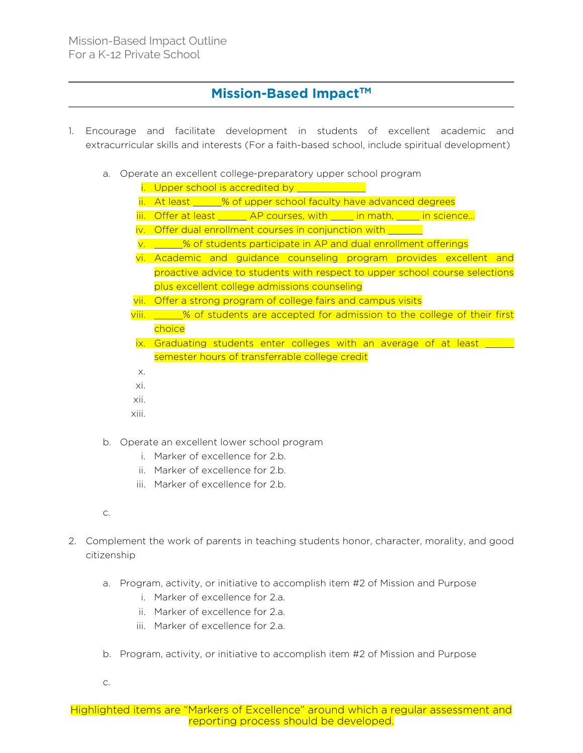## **Mission-Based Impact™**

- 1. Encourage and facilitate development in students of excellent academic and extracurricular skills and interests (For a faith-based school, include spiritual development)
	- a. Operate an excellent college-preparatory upper school program
		- i. Upper school is accredited by \_\_\_\_\_\_\_\_\_\_\_\_\_\_
		- ii. At least  $\frac{1}{2}$ % of upper school faculty have advanced degrees
		- iii. Offer at least \_\_\_\_\_ AP courses, with \_\_\_\_ in math, \_\_\_\_ in science...
		- iv. Offer dual enrollment courses in conjunction with \_\_\_\_\_\_
		- v. \_\_\_\_\_% of students participate in AP and dual enrollment offerings
		- vi. Academic and guidance counseling program provides excellent and proactive advice to students with respect to upper school course selections plus excellent college admissions counseling
		- vii. Offer a strong program of college fairs and campus visits
		- viii. \_\_\_\_\_% of students are accepted for admission to the college of their first choice
		- ix. Graduating students enter colleges with an average of at least semester hours of transferrable college credit
		- x.
		- xi.
		- xii.
		- xiii.
	- b. Operate an excellent lower school program
		- i. Marker of excellence for 2.b.
		- ii. Marker of excellence for 2.b.
		- iii. Marker of excellence for 2.b.
	- c.
- 2. Complement the work of parents in teaching students honor, character, morality, and good citizenship
	- a. Program, activity, or initiative to accomplish item #2 of Mission and Purpose
		- i. Marker of excellence for 2.a.
		- ii. Marker of excellence for 2.a.
		- iii. Marker of excellence for 2.a.
	- b. Program, activity, or initiative to accomplish item #2 of Mission and Purpose
	- c.